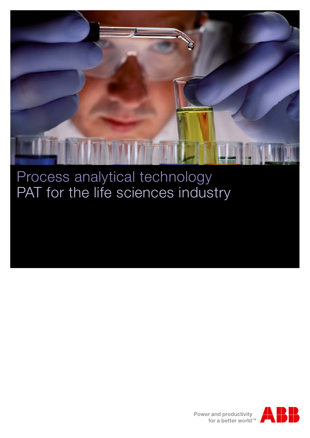

### Process analytical technology PAT for the life sciences industry

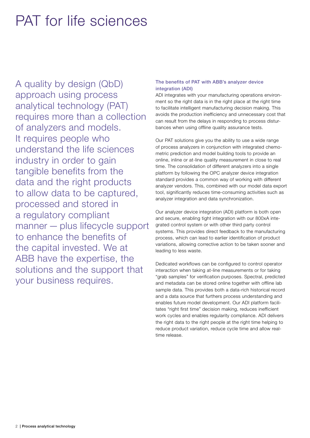## PAT for life sciences

A quality by design (QbD) approach using process analytical technology (PAT) requires more than a collection of analyzers and models. It requires people who understand the life sciences industry in order to gain tangible benefits from the data and the right products to allow data to be captured, processed and stored in a regulatory compliant manner — plus lifecycle support to enhance the benefits of the capital invested. We at ABB have the expertise, the solutions and the support that your business requires.

#### The benefits of PAT with ABB's analyzer device integration (ADI)

ADI integrates with your manufacturing operations environment so the right data is in the right place at the right time to facilitate intelligent manufacturing decision making. This avoids the production inefficiency and unnecessary cost that can result from the delays in responding to process disturbances when using offline quality assurance tests.

Our PAT solutions give you the ability to use a wide range of process analyzers in conjunction with integrated chemometric prediction and model building tools to provide an online, inline or at-line quality measurement in close to real time. The consolidation of different analyzers into a single platform by following the OPC analyzer device integration standard provides a common way of working with different analyzer vendors. This, combined with our model data export tool, significantly reduces time-consuming activities such as analyzer integration and data synchronization.

Our analyzer device integration (ADI) platform is both open and secure, enabling tight integration with our 800xA integrated control system or with other third party control systems. This provides direct feedback to the manufacturing process, which can lead to earlier identification of product variations, allowing corrective action to be taken sooner and leading to less waste.

Dedicated workflows can be configured to control operator interaction when taking at-line measurements or for taking "grab samples" for verification purposes. Spectral, predicted and metadata can be stored online together with offline lab sample data. This provides both a data-rich historical record and a data source that furthers process understanding and enables future model development. Our ADI platform facilitates "right first time" decision making, reduces inefficient work cycles and enables regularity compliance. ADI delivers the right data to the right people at the right time helping to reduce product variation, reduce cycle time and allow realtime release.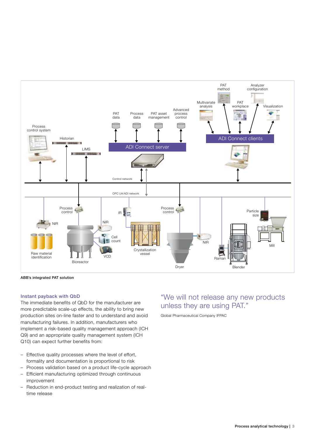

ABB's integrated PAT solution

#### Instant payback with QbD

The immediate benefits of QbD for the manufacturer are more predictable scale-up effects, the ability to bring new production sites on-line faster and to understand and avoid manufacturing failures. In addition, manufacturers who implement a risk-based quality management approach (ICH Q9) and an appropriate quality management system (ICH Q10) can expect further benefits from:

- Effective quality processes where the level of effort, formality and documentation is proportional to risk
- Process validation based on a product life-cycle approach
- Efficient manufacturing optimized through continuous improvement
- Reduction in end-product testing and realization of realtime release

### "We will not release any new products unless they are using PAT."

Global Pharmaceutical Company IFPAC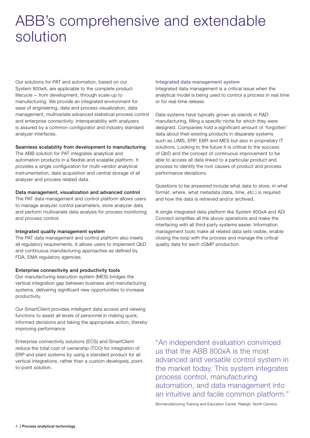### ABB's comprehensive and extendable solution

Our solutions for PAT and automation, based on our System 800xA, are applicable to the complete product lifecycle — from development, through scale-up to manufacturing. We provide an integrated environment for ease of engineering, data and process visualization, data management, multivariate advanced statistical process control and enterprise connectivity. Interoperability with analyzers is assured by a common configurator and industry standard analyzer interfaces.

#### Seamless scalability from development to manufacturing

The ABB solution for PAT integrates analytical and automation products in a flexible and scalable platform. It provides a single configuration for multi-vendor analytical instrumentation, data acquisition and central storage of all analyzer and process related data.

#### Data management, visualization and advanced control

The PAT data management and control platform allows users to manage analyzer control parameters, store analyzer data and perform multivariate data analysis for process monitoring and process control.

#### Integrated quality management system

The PAT data management and control platform also meets all regulatory requirements. It allows users to implement QbD and continuous manufacturing approaches as defined by FDA, EMA regulatory agencies.

#### Enterprise connectivity and productivity tools

Our manufacturing execution system (MES) bridges the vertical integration gap between business and manufacturing systems, delivering significant new opportunities to increase productivity.

Our SmartClient provides intelligent data access and viewing functions to assist all levels of personnel in making quick, informed decisions and taking the appropriate action, thereby improving performance.

Enterprise connectivity solutions (ECS) and SmartClient reduce the total cost of ownership (TCO) for integration of ERP and plant systems by using a standard product for all vertical integrations, rather than a custom developed, pointto-point solution.

#### Integrated data management system

Integrated data management is a critical issue when the analytical model is being used to control a process in real time or for real-time release.

Data systems have typically grown as islands in R&D manufacturing, filling a specific niche for which they were designed. Companies hold a significant amount of 'forgotten' data about their existing products in disparate systems such as LIMS, ERP, EBR and MES but also in proprietary IT solutions. Looking to the future it is critical to the success of QbD and the concept of continuous improvement to be able to access all data linked to a particular product and process to identify the root causes of product and process performance deviations.

Questions to be answered include what data to store, in what format, where, what metadata (data, time, etc.) is required and how the data is retrieved and/or archived.

A single integrated data platform like System 800xA and ADI Connect simplifies all the above operations and make the interfacing with all third-party systems easier. Information management tools make all related data sets visible, enable closing the loop with the process and manage the critical quality data for each cGMP production.

"An independent evaluation convinced us that the ABB 800xA is the most advanced and versatile control system in the market today. This system integrates process control, manufacturing automation, and data management into an intuitive and facile common platform."

Biomanufacturing Training and Education Center, Raleigh, North Carolina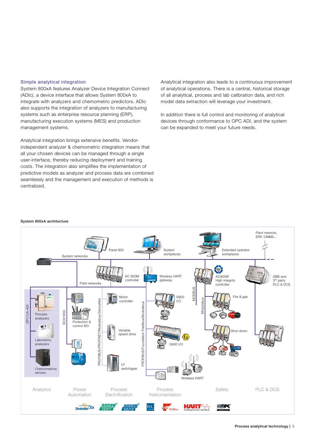#### Simple analytical integration

System 800xA features Analyzer Device Integration Connect (ADIc), a device interface that allows System 800xA to integrate with analyzers and chemometric predictors. ADIc also supports the integration of analyzers to manufacturing systems such as enterprise resource planning (ERP), manufacturing execution systems (MES) and production management systems.

Analytical integration brings extensive benefits. Vendorindependent analyzer & chemometric integration means that all your chosen devices can be managed through a single user-interface, thereby reducing deployment and training costs. The integration also simplifies the implementation of predictive models as analyzer and process data are combined seamlessly and the management and execution of methods is centralized.

Analytical integration also leads to a continuous improvement of analytical operations. There is a central, historical storage of all analytical, process and lab calibration data, and rich model data extraction will leverage your investment.

In addition there is full control and monitoring of analytical devices through conformance to OPC ADI, and the system can be expanded to meet your future needs.

#### System 800xA architecture

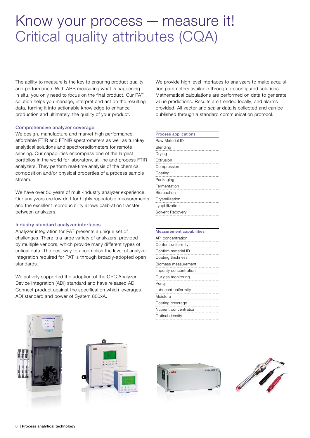### Know your process — measure it! Critical quality attributes (CQA)

The ability to measure is the key to ensuring product quality and performance. With ABB measuring what is happening in situ, you only need to focus on the final product. Our PAT solution helps you manage, interpret and act on the resulting data, turning it into actionable knowledge to enhance production and ultimately, the quality of your product.

#### Comprehensive analyzer coverage

We design, manufacture and market high performance, affordable FTIR and FTNIR spectrometers as well as turnkey analytical solutions and spectroradiometers for remote sensing. Our capabilities encompass one of the largest portfolios in the world for laboratory, at-line and process FTIR analyzers. They perform real-time analysis of the chemical composition and/or physical properties of a process sample stream.

We have over 50 years of multi-industry analyzer experience. Our analyzers are low drift for highly repeatable measurements and the excellent reproducibility allows calibration transfer between analyzers.

#### Industry standard analyzer interfaces

Analyzer integration for PAT presents a unique set of challenges. There is a large variety of analyzers, provided by multiple vendors, which provide many different types of critical data. The best way to accomplish the level of analyzer integration required for PAT is through broadly-adopted open standards.

We actively supported the adoption of the OPC Analyzer Device Integration (ADI) standard and have released ADI Connect product against the specification which leverages ADI standard and power of System 800xA.

We provide high level interfaces to analyzers to make acquisition parameters available through preconfigured solutions. Mathematical calculations are performed on data to generate value predictions. Results are trended locally; and alarms provided. All vector and scalar data is collected and can be published through a standard communication protocol.

| <b>Process applications</b> |
|-----------------------------|
| Raw Material ID             |
| Blending                    |
| Drying                      |
| Extrusion                   |
| Compression                 |
| Coating                     |
| Packaging                   |
| Fermentation                |
| Bioreaction                 |
| Crystallization             |
| Lyophilization              |
| Solvent Recovery            |
|                             |

| <b>Measurement capabilities</b> |
|---------------------------------|
| API concentration               |
| Content uniformity              |
| Confirm material ID             |
| Coating thickness               |
| Biomass measurement             |
| Impurity concentration          |
| Out gas monitoring              |
| Purity                          |
| Lubricant uniformity            |
| Moisture                        |
| Coating coverage                |
| Nutrient concentration          |
| Optical density                 |







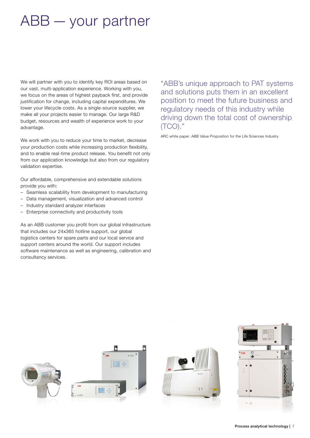# ABB — your partner

We will partner with you to identify key ROI areas based on our vast, multi-application experience. Working with you, we focus on the areas of highest payback first, and provide justification for change, including capital expenditures. We lower your lifecycle costs. As a single-source supplier, we make all your projects easier to manage. Our large R&D budget, resources and wealth of experience work to your advantage.

We work with you to reduce your time to market, decrease your production costs while increasing production flexibility, and to enable real-time product release. You benefit not only from our application knowledge but also from our regulatory validation expertise.

Our affordable, comprehensive and extendable solutions provide you with:

- Seamless scalability from development to manufacturing
- Data management, visualization and advanced control
- Industry standard analyzer interfaces
- Enterprise connectivity and productivity tools

As an ABB customer you profit from our global infrastructure that includes our 24x365 hotline support, our global logistics centers for spare parts and our local service and support centers around the world. Our support includes software maintenance as well as engineering, calibration and consultancy services.

"ABB's unique approach to PAT systems and solutions puts them in an excellent position to meet the future business and regulatory needs of this industry while driving down the total cost of ownership (TCO)."

ARC white paper: ABB Value Proposition for the Life Sciences Industry